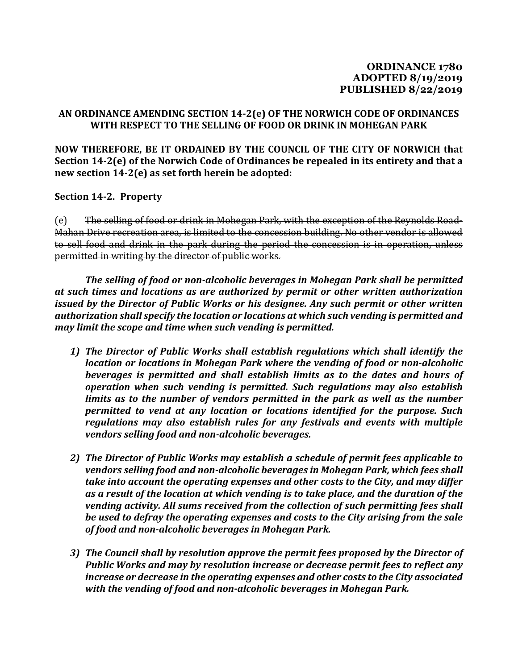## **AN ORDINANCE AMENDING SECTION 14-2(e) OF THE NORWICH CODE OF ORDINANCES WITH RESPECT TO THE SELLING OF FOOD OR DRINK IN MOHEGAN PARK**

**NOW THEREFORE, BE IT ORDAINED BY THE COUNCIL OF THE CITY OF NORWICH that Section 14-2(e) of the Norwich Code of Ordinances be repealed in its entirety and that a new section 14-2(e) as set forth herein be adopted:**

**Section 14-2. Property** 

(e) The selling of food or drink in Mohegan Park, with the exception of the Reynolds Road-Mahan Drive recreation area, is limited to the concession building. No other vendor is allowed to sell food and drink in the park during the period the concession is in operation, unless permitted in writing by the director of public works.

*The selling of food or non-alcoholic beverages in Mohegan Park shall be permitted at such times and locations as are authorized by permit or other written authorization issued by the Director of Public Works or his designee. Any such permit or other written authorization shall specify the location or locations at which such vending is permitted and may limit the scope and time when such vending is permitted.* 

- *1) The Director of Public Works shall establish regulations which shall identify the location or locations in Mohegan Park where the vending of food or non-alcoholic beverages is permitted and shall establish limits as to the dates and hours of operation when such vending is permitted. Such regulations may also establish limits as to the number of vendors permitted in the park as well as the number permitted to vend at any location or locations identified for the purpose. Such regulations may also establish rules for any festivals and events with multiple vendors selling food and non-alcoholic beverages.*
- *2) The Director of Public Works may establish a schedule of permit fees applicable to vendors selling food and non-alcoholic beverages in Mohegan Park, which fees shall take into account the operating expenses and other costs to the City, and may differ as a result of the location at which vending is to take place, and the duration of the vending activity. All sums received from the collection of such permitting fees shall be used to defray the operating expenses and costs to the City arising from the sale of food and non-alcoholic beverages in Mohegan Park.*
- *3) The Council shall by resolution approve the permit fees proposed by the Director of Public Works and may by resolution increase or decrease permit fees to reflect any increase or decrease in the operating expenses and other costs to the City associated with the vending of food and non-alcoholic beverages in Mohegan Park.*